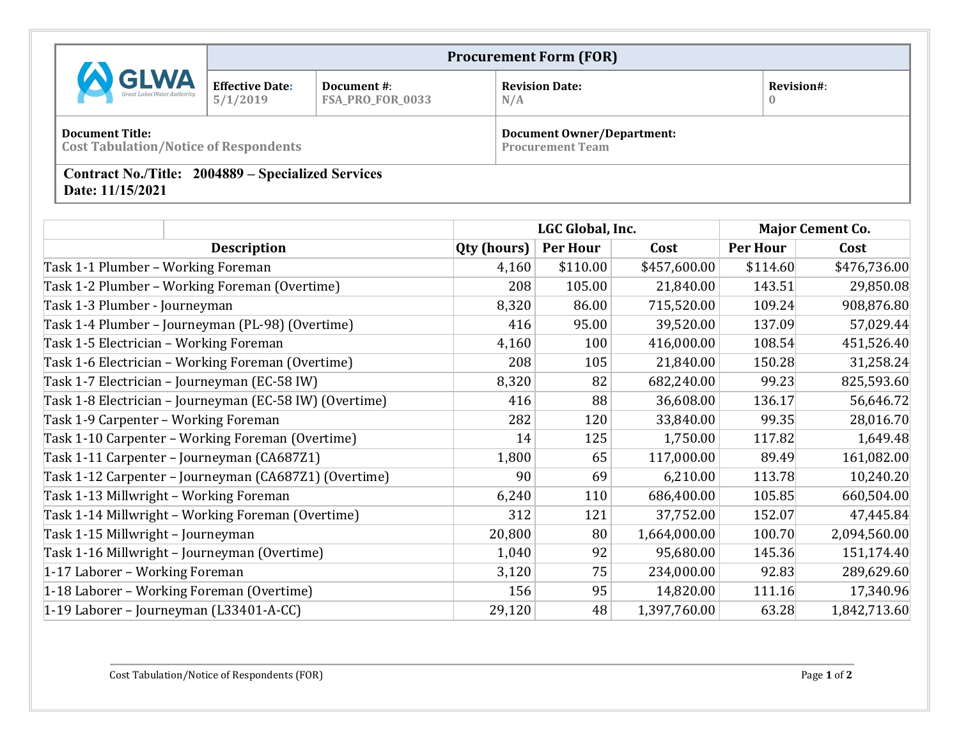|                                                                               |                                    |                                 | <b>Procurement Form (FOR)</b>                                |                               |
|-------------------------------------------------------------------------------|------------------------------------|---------------------------------|--------------------------------------------------------------|-------------------------------|
| <b>GLWA</b>                                                                   | <b>Effective Date:</b><br>5/1/2019 | Document #:<br>FSA_PRO_FOR_0033 | <b>Revision Date:</b><br>N/A                                 | <b>Revision#:</b><br>$\bf{0}$ |
| <b>Document Title:</b><br><b>Cost Tabulation/Notice of Respondents</b>        |                                    |                                 | <b>Document Owner/Department:</b><br><b>Procurement Team</b> |                               |
| <b>Contract No./Title: 2004889 – Specialized Services</b><br>Date: 11/15/2021 |                                    |                                 |                                                              |                               |

|                                                         | LGC Global, Inc. |          |              | <b>Major Cement Co.</b> |              |
|---------------------------------------------------------|------------------|----------|--------------|-------------------------|--------------|
| <b>Description</b>                                      | Qty (hours)      | Per Hour | Cost         | <b>Per Hour</b>         | Cost         |
| Task 1-1 Plumber - Working Foreman                      | 4,160            | \$110.00 | \$457,600.00 | \$114.60                | \$476,736.00 |
| Task 1-2 Plumber - Working Foreman (Overtime)           | 208              | 105.00   | 21,840.00    | 143.51                  | 29,850.08    |
| Task 1-3 Plumber - Journeyman                           | 8,320            | 86.00    | 715,520.00   | 109.24                  | 908,876.80   |
| Task 1-4 Plumber - Journeyman (PL-98) (Overtime)        | 416              | 95.00    | 39,520.00    | 137.09                  | 57,029.44    |
| Task 1-5 Electrician - Working Foreman                  | 4,160            | 100      | 416,000.00   | 108.54                  | 451,526.40   |
| Task 1-6 Electrician – Working Foreman (Overtime)       | 208              | 105      | 21,840.00    | 150.28                  | 31,258.24    |
| Task 1-7 Electrician – Journeyman (EC-58 IW)            | 8,320            | 82       | 682,240.00   | 99.23                   | 825,593.60   |
| Task 1-8 Electrician – Journeyman (EC-58 IW) (Overtime) | 416              | 88       | 36,608.00    | 136.17                  | 56,646.72    |
| Task 1-9 Carpenter - Working Foreman                    | 282              | 120      | 33,840.00    | 99.35                   | 28,016.70    |
| Task 1-10 Carpenter - Working Foreman (Overtime)        | 14               | 125      | 1,750.00     | 117.82                  | 1,649.48     |
| Task 1-11 Carpenter - Journeyman (CA687Z1)              | 1,800            | 65       | 117,000.00   | 89.49                   | 161,082.00   |
| Task 1-12 Carpenter – Journeyman (CA687Z1) (Overtime)   | 90               | 69       | 6,210.00     | 113.78                  | 10,240.20    |
| Task 1-13 Millwright - Working Foreman                  | 6,240            | 110      | 686,400.00   | 105.85                  | 660,504.00   |
| Task 1-14 Millwright - Working Foreman (Overtime)       | 312              | 121      | 37,752.00    | 152.07                  | 47,445.84    |
| Task 1-15 Millwright - Journeyman                       | 20,800           | 80       | 1,664,000.00 | 100.70                  | 2,094,560.00 |
| Task 1-16 Millwright - Journeyman (Overtime)            | 1,040            | 92       | 95,680.00    | 145.36                  | 151,174.40   |
| 1-17 Laborer - Working Foreman                          | 3,120            | 75       | 234,000.00   | 92.83                   | 289,629.60   |
| 1-18 Laborer - Working Foreman (Overtime)               | 156              | 95       | 14,820.00    | 111.16                  | 17,340.96    |
| 1-19 Laborer – Journeyman (L33401-A-CC)                 | 29,120           | 48       | 1,397,760.00 | 63.28                   | 1,842,713.60 |